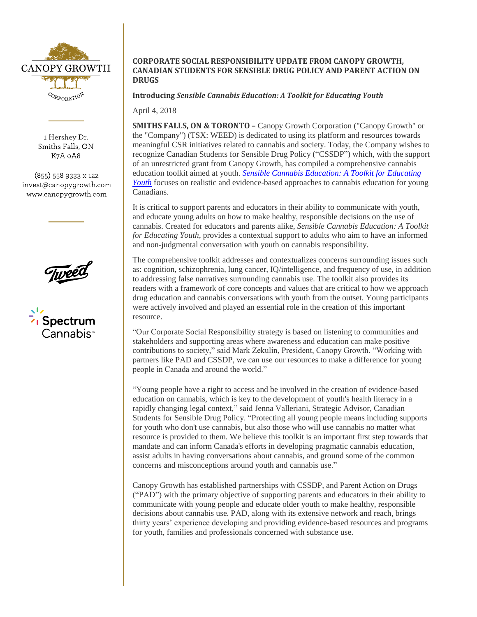

1 Hershey Dr. Smiths Falls, ON K7A 0A8

 $(855)$  558 9333 x 122 invest@canopygrowth.com www.canopygrowth.com





# **CORPORATE SOCIAL RESPONSIBILITY UPDATE FROM CANOPY GROWTH, CANADIAN STUDENTS FOR SENSIBLE DRUG POLICY AND PARENT ACTION ON DRUGS**

**Introducing** *Sensible Cannabis Education: A Toolkit for Educating Youth*

April 4, 2018

**SMITHS FALLS, ON & TORONTO – Canopy Growth Corporation ("Canopy Growth" or** the "Company") (TSX: WEED) is dedicated to using its platform and resources towards meaningful CSR initiatives related to cannabis and society. Today, the Company wishes to recognize Canadian Students for Sensible Drug Policy ("CSSDP") which, with the support of an unrestricted grant from Canopy Growth, has compiled a comprehensive cannabis education toolkit aimed at youth. *[Sensible Cannabis Education: A Toolkit for Educating](https://cssdp.org/youthtoolkit/)  [Youth](https://cssdp.org/youthtoolkit/)* focuses on realistic and evidence-based approaches to cannabis education for young Canadians.

It is critical to support parents and educators in their ability to communicate with youth, and educate young adults on how to make healthy, responsible decisions on the use of cannabis. Created for educators and parents alike, *Sensible Cannabis Education: A Toolkit for Educating Youth*, provides a contextual support to adults who aim to have an informed and non-judgmental conversation with youth on cannabis responsibility.

The comprehensive toolkit addresses and contextualizes concerns surrounding issues such as: cognition, schizophrenia, lung cancer, IQ/intelligence, and frequency of use, in addition to addressing false narratives surrounding cannabis use. The toolkit also provides its readers with a framework of core concepts and values that are critical to how we approach drug education and cannabis conversations with youth from the outset. Young participants were actively involved and played an essential role in the creation of this important resource.

"Our Corporate Social Responsibility strategy is based on listening to communities and stakeholders and supporting areas where awareness and education can make positive contributions to society," said Mark Zekulin, President, Canopy Growth. "Working with partners like PAD and CSSDP, we can use our resources to make a difference for young people in Canada and around the world."

"Young people have a right to access and be involved in the creation of evidence-based education on cannabis, which is key to the development of youth's health literacy in a rapidly changing legal context," said Jenna Valleriani, Strategic Advisor, Canadian Students for Sensible Drug Policy. "Protecting all young people means including supports for youth who don't use cannabis, but also those who will use cannabis no matter what resource is provided to them. We believe this toolkit is an important first step towards that mandate and can inform Canada's efforts in developing pragmatic cannabis education, assist adults in having conversations about cannabis, and ground some of the common concerns and misconceptions around youth and cannabis use."

Canopy Growth has established partnerships with CSSDP, and Parent Action on Drugs ("PAD") with the primary objective of supporting parents and educators in their ability to communicate with young people and educate older youth to make healthy, responsible decisions about cannabis use. PAD, along with its extensive network and reach, brings thirty years' experience developing and providing evidence-based resources and programs for youth, families and professionals concerned with substance use.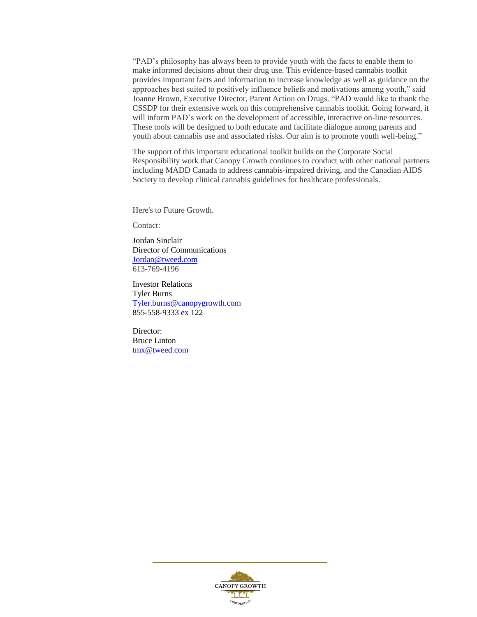"PAD's philosophy has always been to provide youth with the facts to enable them to make informed decisions about their drug use. This evidence-based cannabis toolkit provides important facts and information to increase knowledge as well as guidance on the approaches best suited to positively influence beliefs and motivations among youth," said Joanne Brown, Executive Director, Parent Action on Drugs. "PAD would like to thank the CSSDP for their extensive work on this comprehensive cannabis toolkit. Going forward, it will inform PAD's work on the development of accessible, interactive on-line resources. These tools will be designed to both educate and facilitate dialogue among parents and youth about cannabis use and associated risks. Our aim is to promote youth well-being."

The support of this important educational toolkit builds on the Corporate Social Responsibility work that Canopy Growth continues to conduct with other national partners including MADD Canada to address cannabis-impaired driving, and the Canadian AIDS Society to develop clinical cannabis guidelines for healthcare professionals.

Here's to Future Growth.

Contact:

Jordan Sinclair Director of Communications [Jordan@tweed.com](mailto:Jordan@tweed.com) 613-769-4196

Investor Relations Tyler Burns [Tyler.burns@canopygrowth.com](mailto:Tyler.burns@canopygrowth.com) 855-558-9333 ex 122

Director: Bruce Linton [tmx@tweed.com](mailto:tmx@tweed.com)